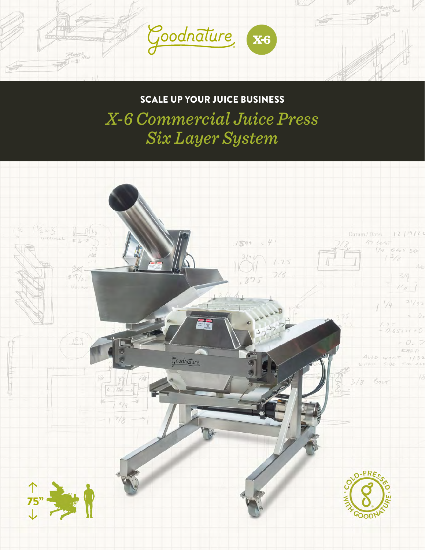

SCALE UP YOUR JUICE BUSINESS

*X-6 Commercial Juice Press Six Layer System*

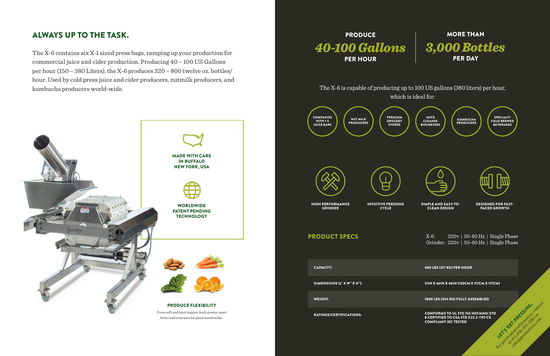## ALWAYS UP TO THE TASK.



The X-6 contains six X-1 sized press bags, ramping up your production for commercial juice and cider production. Producing 40 – 100 US Gallons per hour (150 – 380 Liters), the X-6 produces 320 – 800 twelve oz. bottles/ hour. Used by cold press juice and cider producers, nutmilk producers, and kombucha producers world-wide.